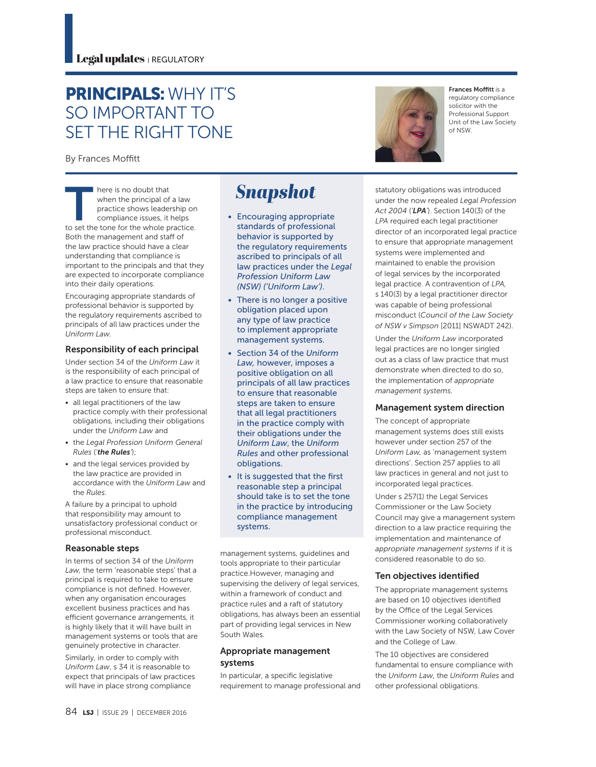## PRINCIPALS: WHY IT'S SO IMPORTANT TO SET THE RIGHT TONE

By Frances Moffitt

There is no doubt that<br>
when the principal of a law<br>
practice shows leadership on<br>
compliance issues, it helps<br>
to set the tone for the whole practice. when the principal of a law practice shows leadership on compliance issues, it helps Both the management and staff of the law practice should have a clear understanding that compliance is important to the principals and that they are expected to incorporate compliance into their daily operations.

Encouraging appropriate standards of professional behavior is supported by the regulatory requirements ascribed to principals of all law practices under the *Uniform Law.*

#### Responsibility of each principal

Under section 34 of the *Uniform Law* it is the responsibility of each principal of a law practice to ensure that reasonable steps are taken to ensure that:

- all legal practitioners of the law practice comply with their professional obligations, including their obligations under the *Uniform Law* and
- the *Legal Profession Uniform General Rules* ('*the Rules'*);
- and the legal services provided by the law practice are provided in accordance with the *Uniform Law* and the *Rules*.

A failure by a principal to uphold that responsibility may amount to unsatisfactory professional conduct or professional misconduct.

#### Reasonable steps

In terms of section 34 of the *Uniform Law,* the term 'reasonable steps' that a principal is required to take to ensure compliance is not defined. However, when any organisation encourages excellent business practices and has efficient governance arrangements, it is highly likely that it will have built in management systems or tools that are genuinely protective in character. Similarly, in order to comply with *Uniform Law*, s 34 it is reasonable to expect that principals of law practices will have in place strong compliance

# **Snapshot**

- Encouraging appropriate standards of professional behavior is supported by the regulatory requirements ascribed to principals of all law practices under the *Legal Profession Uniform Law (NSW) ('Uniform Law')*.
- There is no longer a positive obligation placed upon any type of law practice to implement appropriate management systems.
- Section 34 of the *Uniform Law,* however, imposes a positive obligation on all principals of all law practices to ensure that reasonable steps are taken to ensure that all legal practitioners in the practice comply with their obligations under the *Uniform Law*, the *Uniform Rules* and other professional obligations.
- It is suggested that the first reasonable step a principal should take is to set the tone in the practice by introducing compliance management systems.

management systems, guidelines and tools appropriate to their particular practice.However, managing and supervising the delivery of legal services, within a framework of conduct and practice rules and a raft of statutory obligations, has always been an essential part of providing legal services in New South Wales.

#### Appropriate management systems

In particular, a specific legislative requirement to manage professional and of NSW.

Frances Moffitt is a regulatory compliance solicitor with the Professional Support Unit of the Law Society

statutory obligations was introduced under the now repealed *Legal Profession Act 2004* (*'LPA'*). Section 140(3) of the *LPA* required each legal practitioner director of an incorporated legal practice to ensure that appropriate management systems were implemented and maintained to enable the provision of legal services by the incorporated legal practice. A contravention of *LPA,*  s 140(3) by a legal practitioner director was capable of being professional misconduct (*Council of the Law Society of NSW v Simpson* [2011] NSWADT 242).

Under the *Uniform Law* incorporated legal practices are no longer singled out as a class of law practice that must demonstrate when directed to do so, the implementation of *appropriate management systems.*

#### Management system direction

The concept of appropriate management systems does still exists however under section 257 of the *Uniform Law,* as 'management system directions'. Section 257 applies to all law practices in general and not just to incorporated legal practices.

Under s 257(1) the Legal Services Commissioner or the Law Society Council may give a management system direction to a law practice requiring the implementation and maintenance of *appropriate management systems* if it is considered reasonable to do so.

#### Ten objectives identified

The appropriate management systems are based on 10 objectives identified by the Office of the Legal Services Commissioner working collaboratively with the Law Society of NSW, Law Cover and the College of Law.

The 10 objectives are considered fundamental to ensure compliance with the *Uniform Law*, the *Uniform Rules* and other professional obligations.